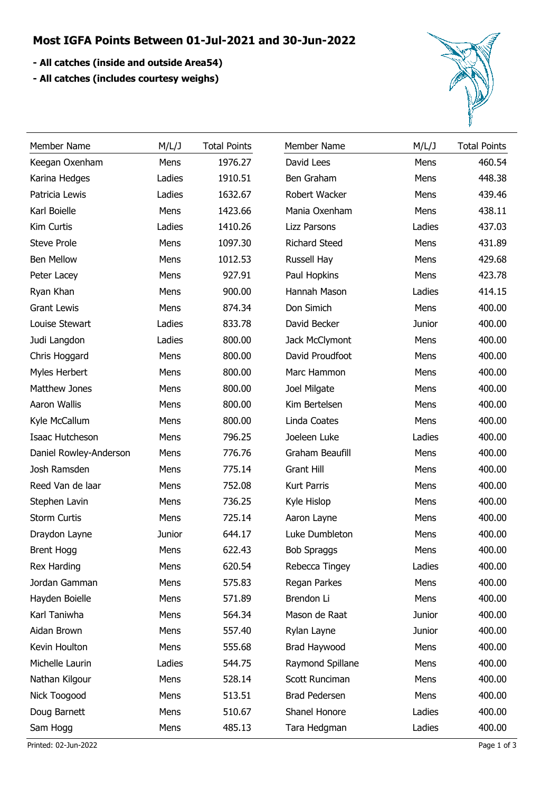## **Most IGFA Points Between 01-Jul-2021 and 30-Jun-2022**

- **All catches (inside and outside Area54)**
- **All catches (includes courtesy weighs)**



| Member Name            | M/L/J  | <b>Total Points</b> | Member Name          | M/L/J  | <b>Total Points</b> |
|------------------------|--------|---------------------|----------------------|--------|---------------------|
| Keegan Oxenham         | Mens   | 1976.27             | David Lees           | Mens   | 460.54              |
| Karina Hedges          | Ladies | 1910.51             | Ben Graham           | Mens   | 448.38              |
| Patricia Lewis         | Ladies | 1632.67             | Robert Wacker        | Mens   | 439.46              |
| Karl Boielle           | Mens   | 1423.66             | Mania Oxenham        | Mens   | 438.11              |
| Kim Curtis             | Ladies | 1410.26             | <b>Lizz Parsons</b>  | Ladies | 437.03              |
| <b>Steve Prole</b>     | Mens   | 1097.30             | <b>Richard Steed</b> | Mens   | 431.89              |
| <b>Ben Mellow</b>      | Mens   | 1012.53             | Russell Hay          | Mens   | 429.68              |
| Peter Lacey            | Mens   | 927.91              | Paul Hopkins         | Mens   | 423.78              |
| Ryan Khan              | Mens   | 900.00              | Hannah Mason         | Ladies | 414.15              |
| <b>Grant Lewis</b>     | Mens   | 874.34              | Don Simich           | Mens   | 400.00              |
| Louise Stewart         | Ladies | 833.78              | David Becker         | Junior | 400.00              |
| Judi Langdon           | Ladies | 800.00              | Jack McClymont       | Mens   | 400.00              |
| Chris Hoggard          | Mens   | 800.00              | David Proudfoot      | Mens   | 400.00              |
| Myles Herbert          | Mens   | 800.00              | Marc Hammon          | Mens   | 400.00              |
| Matthew Jones          | Mens   | 800.00              | Joel Milgate         | Mens   | 400.00              |
| Aaron Wallis           | Mens   | 800.00              | Kim Bertelsen        | Mens   | 400.00              |
| Kyle McCallum          | Mens   | 800.00              | Linda Coates         | Mens   | 400.00              |
| Isaac Hutcheson        | Mens   | 796.25              | Joeleen Luke         | Ladies | 400.00              |
| Daniel Rowley-Anderson | Mens   | 776.76              | Graham Beaufill      | Mens   | 400.00              |
| Josh Ramsden           | Mens   | 775.14              | <b>Grant Hill</b>    | Mens   | 400.00              |
| Reed Van de laar       | Mens   | 752.08              | Kurt Parris          | Mens   | 400.00              |
| Stephen Lavin          | Mens   | 736.25              | Kyle Hislop          | Mens   | 400.00              |
| <b>Storm Curtis</b>    | Mens   | 725.14              | Aaron Layne          | Mens   | 400.00              |
| Draydon Layne          | Junior | 644.17              | Luke Dumbleton       | Mens   | 400.00              |
| <b>Brent Hogg</b>      | Mens   | 622.43              | <b>Bob Spraggs</b>   | Mens   | 400.00              |
| Rex Harding            | Mens   | 620.54              | Rebecca Tingey       | Ladies | 400.00              |
| Jordan Gamman          | Mens   | 575.83              | Regan Parkes         | Mens   | 400.00              |
| Hayden Boielle         | Mens   | 571.89              | Brendon Li           | Mens   | 400.00              |
| Karl Taniwha           | Mens   | 564.34              | Mason de Raat        | Junior | 400.00              |
| Aidan Brown            | Mens   | 557.40              | Rylan Layne          | Junior | 400.00              |
| Kevin Houlton          | Mens   | 555.68              | Brad Haywood         | Mens   | 400.00              |
| Michelle Laurin        | Ladies | 544.75              | Raymond Spillane     | Mens   | 400.00              |
| Nathan Kilgour         | Mens   | 528.14              | Scott Runciman       | Mens   | 400.00              |
| Nick Toogood           | Mens   | 513.51              | Brad Pedersen        | Mens   | 400.00              |
| Doug Barnett           | Mens   | 510.67              | Shanel Honore        | Ladies | 400.00              |
| Sam Hogg               | Mens   | 485.13              | Tara Hedgman         | Ladies | 400.00              |
| Printed: 02-Jun-2022   |        |                     |                      |        | Page 1 of 3         |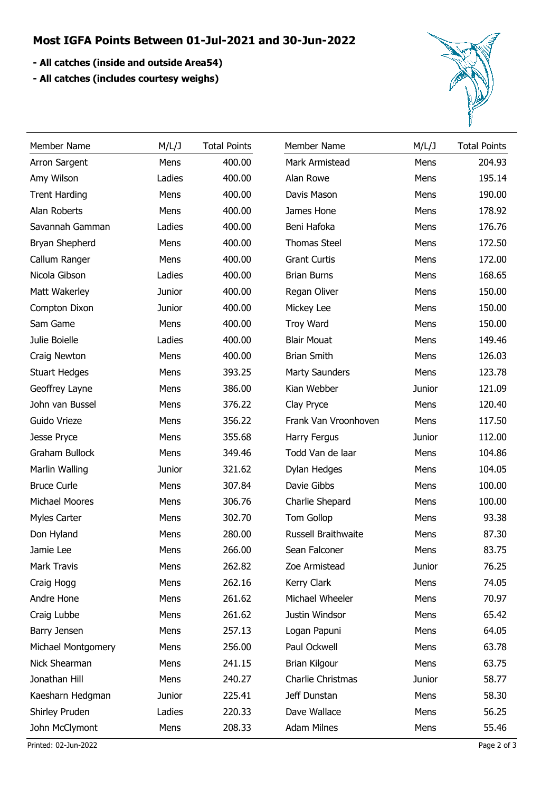## **Most IGFA Points Between 01-Jul-2021 and 30-Jun-2022**

- **All catches (inside and outside Area54)**
- **All catches (includes courtesy weighs)**



| Member Name          | M/L/J  | <b>Total Points</b> | Member Name           | M/L/J  | <b>Total Points</b> |
|----------------------|--------|---------------------|-----------------------|--------|---------------------|
| Arron Sargent        | Mens   | 400.00              | Mark Armistead        | Mens   | 204.93              |
| Amy Wilson           | Ladies | 400.00              | Alan Rowe             | Mens   | 195.14              |
| <b>Trent Harding</b> | Mens   | 400.00              | Davis Mason           | Mens   | 190.00              |
| Alan Roberts         | Mens   | 400.00              | James Hone            | Mens   | 178.92              |
| Savannah Gamman      | Ladies | 400.00              | Beni Hafoka           | Mens   | 176.76              |
| Bryan Shepherd       | Mens   | 400.00              | <b>Thomas Steel</b>   | Mens   | 172.50              |
| Callum Ranger        | Mens   | 400.00              | <b>Grant Curtis</b>   | Mens   | 172.00              |
| Nicola Gibson        | Ladies | 400.00              | <b>Brian Burns</b>    | Mens   | 168.65              |
| Matt Wakerley        | Junior | 400.00              | Regan Oliver          | Mens   | 150.00              |
| Compton Dixon        | Junior | 400.00              | Mickey Lee            | Mens   | 150.00              |
| Sam Game             | Mens   | 400.00              | <b>Troy Ward</b>      | Mens   | 150.00              |
| Julie Boielle        | Ladies | 400.00              | <b>Blair Mouat</b>    | Mens   | 149.46              |
| Craig Newton         | Mens   | 400.00              | <b>Brian Smith</b>    | Mens   | 126.03              |
| <b>Stuart Hedges</b> | Mens   | 393.25              | <b>Marty Saunders</b> | Mens   | 123.78              |
| Geoffrey Layne       | Mens   | 386.00              | Kian Webber           | Junior | 121.09              |
| John van Bussel      | Mens   | 376.22              | Clay Pryce            | Mens   | 120.40              |
| Guido Vrieze         | Mens   | 356.22              | Frank Van Vroonhoven  | Mens   | 117.50              |
| Jesse Pryce          | Mens   | 355.68              | Harry Fergus          | Junior | 112.00              |
| Graham Bullock       | Mens   | 349.46              | Todd Van de laar      | Mens   | 104.86              |
| Marlin Walling       | Junior | 321.62              | Dylan Hedges          | Mens   | 104.05              |
| <b>Bruce Curle</b>   | Mens   | 307.84              | Davie Gibbs           | Mens   | 100.00              |
| Michael Moores       | Mens   | 306.76              | Charlie Shepard       | Mens   | 100.00              |
| <b>Myles Carter</b>  | Mens   | 302.70              | <b>Tom Gollop</b>     | Mens   | 93.38               |
| Don Hyland           | Mens   | 280.00              | Russell Braithwaite   | Mens   | 87.30               |
| Jamie Lee            | Mens   | 266.00              | Sean Falconer         | Mens   | 83.75               |
| Mark Travis          | Mens   | 262.82              | Zoe Armistead         | Junior | 76.25               |
| Craig Hogg           | Mens   | 262.16              | Kerry Clark           | Mens   | 74.05               |
| Andre Hone           | Mens   | 261.62              | Michael Wheeler       | Mens   | 70.97               |
| Craig Lubbe          | Mens   | 261.62              | Justin Windsor        | Mens   | 65.42               |
| Barry Jensen         | Mens   | 257.13              | Logan Papuni          | Mens   | 64.05               |
| Michael Montgomery   | Mens   | 256.00              | Paul Ockwell          | Mens   | 63.78               |
| Nick Shearman        | Mens   | 241.15              | Brian Kilgour         | Mens   | 63.75               |
| Jonathan Hill        | Mens   | 240.27              | Charlie Christmas     | Junior | 58.77               |
| Kaesharn Hedgman     | Junior | 225.41              | Jeff Dunstan          | Mens   | 58.30               |
| Shirley Pruden       | Ladies | 220.33              | Dave Wallace          | Mens   | 56.25               |
| John McClymont       | Mens   | 208.33              | <b>Adam Milnes</b>    | Mens   | 55.46               |

Printed: 02-Jun-2022 Page 2 of 3